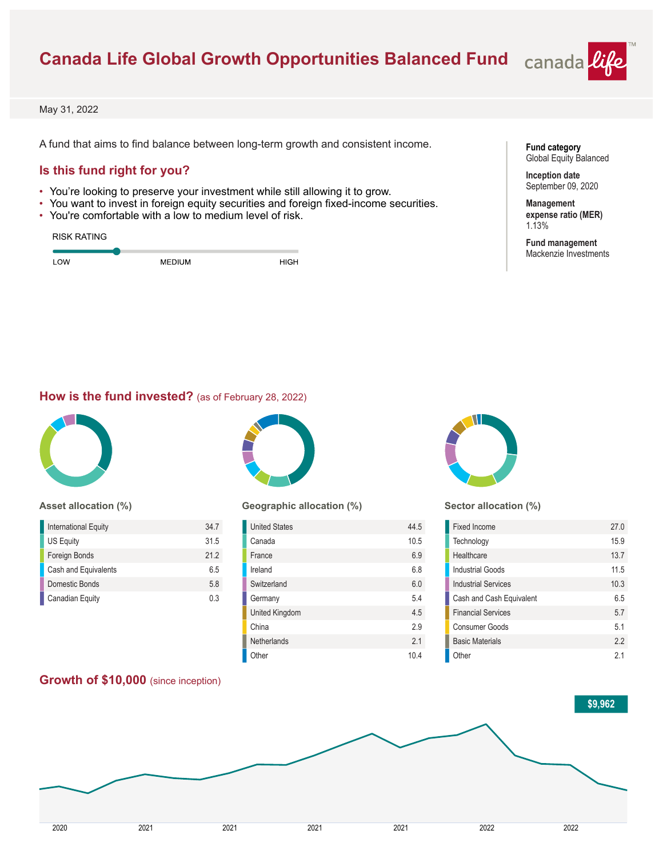# **Canada Life Global Growth Opportunities Balanced Fund**



May 31, 2022

A fund that aims to find balance between long-term growth and consistent income.

## **Is this fund right for you?**

- You're looking to preserve your investment while still allowing it to grow.
- You want to invest in foreign equity securities and foreign fixed-income securities.
- You're comfortable with a low to medium level of risk.

| <b>RISK RATING</b> |               |             |
|--------------------|---------------|-------------|
| LOW                | <b>MEDIUM</b> | <b>HIGH</b> |

**Fund category** Global Equity Balanced

**Inception date** September 09, 2020

**Management expense ratio (MER)** 1.13%

**Fund management** Mackenzie Investments

#### **How is the fund invested?** (as of February 28, 2022)



#### **Asset allocation (%)**

| International Equity   | 347  |
|------------------------|------|
| US Equity              | 31.5 |
| Foreign Bonds          | 212  |
| Cash and Equivalents   | 65   |
| Domestic Bonds         | 5.8  |
| <b>Canadian Equity</b> | 03   |

**Growth of \$10,000** (since inception)



#### **Geographic allocation (%)**

| <b>United States</b> | 44.5 |
|----------------------|------|
| Canada               | 10.5 |
| France               | 6.9  |
| Ireland              | 6.8  |
| Switzerland          | 6.0  |
| Germany              | 5.4  |
| United Kingdom       | 4.5  |
| China                | 2.9  |
| Netherlands          | 21   |
| Other                | 10.4 |



#### **Sector allocation (%)**

| Fixed Income               | 27.0 |
|----------------------------|------|
| Technology                 | 15.9 |
| Healthcare                 | 13.7 |
| <b>Industrial Goods</b>    | 11.5 |
| <b>Industrial Services</b> | 10.3 |
| Cash and Cash Equivalent   | 65   |
| <b>Financial Services</b>  | 5.7  |
| Consumer Goods             | 51   |
| <b>Basic Materials</b>     | 22   |
| Other                      | 21   |

# **\$9,962** 2020 2021 2021 2021 2021 2022 2022